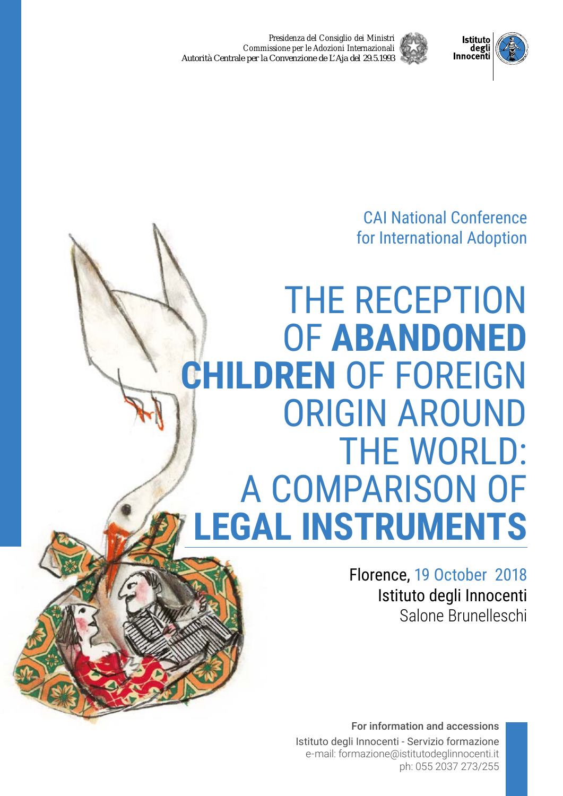*Presidenza del Consiglio dei Ministri Commissione per le Adozioni Internazionali* Autorità Centrale per la Convenzione de L'Aja del 29.5.1993



**Istituto** degli<br>degli<br>Innocenti

# THE RECEPTION OF **ABANDONED CHILDREN** OF FOREIGN ORIGIN AROUND THE WORLD: A COMPARISON OF **LEGAL INSTRUMENTS**

Florence, 19 October 2018 Istituto degli Innocenti Salone Brunelleschi

For information and accessions Istituto degli Innocenti - Servizio formazione e-mail: formazione@istitutodeglinnocenti.it ph: 055 2037 273/255